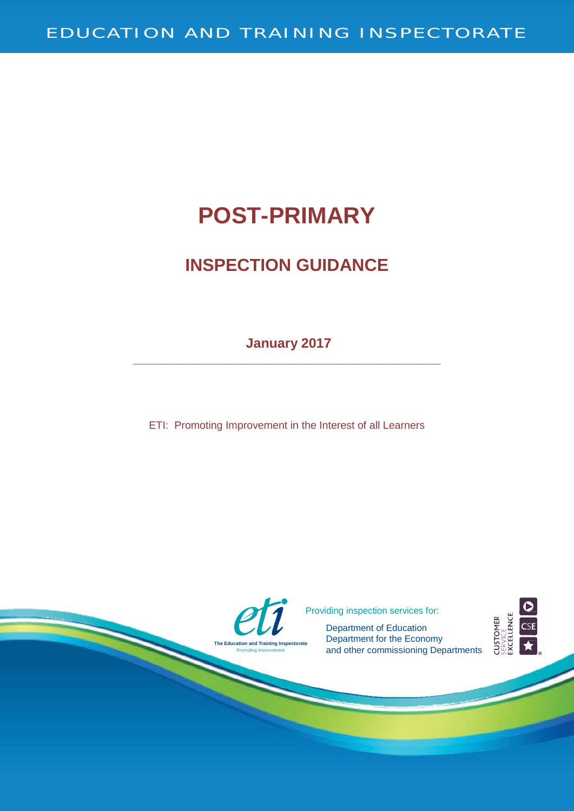# **POST-PRIMARY**

## **INSPECTION GUIDANCE**

**January 2017 \_\_\_\_\_\_\_\_\_\_\_\_\_\_\_\_\_\_\_\_\_\_\_\_\_\_\_\_\_\_\_\_\_\_\_\_\_\_\_\_\_**

ETI: Promoting Improvement in the Interest of all Learners

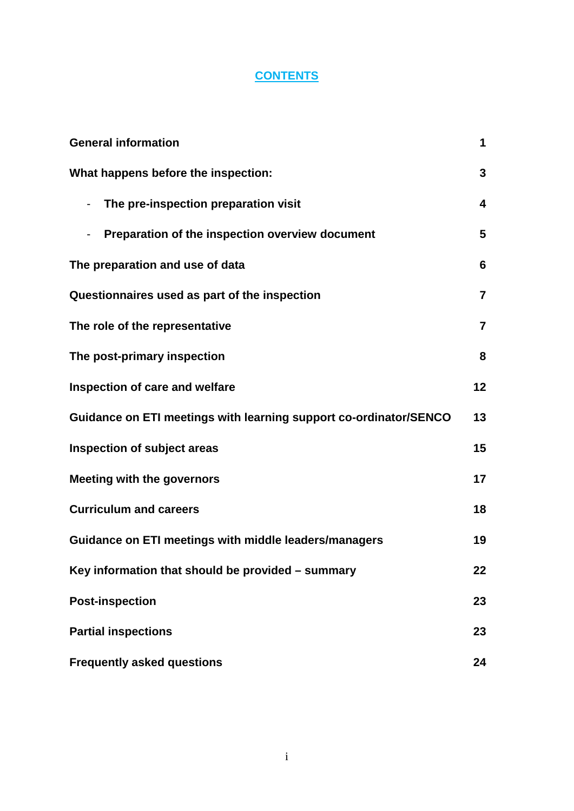### **CONTENTS**

| <b>General information</b>                                        |                |
|-------------------------------------------------------------------|----------------|
| What happens before the inspection:                               | 3              |
| The pre-inspection preparation visit                              | 4              |
| Preparation of the inspection overview document                   | 5              |
| The preparation and use of data                                   | 6              |
| Questionnaires used as part of the inspection                     | $\overline{7}$ |
| The role of the representative                                    | $\overline{7}$ |
| The post-primary inspection                                       | 8              |
| Inspection of care and welfare                                    | 12             |
| Guidance on ETI meetings with learning support co-ordinator/SENCO | 13             |
| Inspection of subject areas                                       | 15             |
| <b>Meeting with the governors</b>                                 | 17             |
| <b>Curriculum and careers</b>                                     | 18             |
| Guidance on ETI meetings with middle leaders/managers             | 19             |
| Key information that should be provided - summary                 | 22             |
| <b>Post-inspection</b>                                            | 23             |
| <b>Partial inspections</b>                                        | 23             |
| <b>Frequently asked questions</b>                                 | 24             |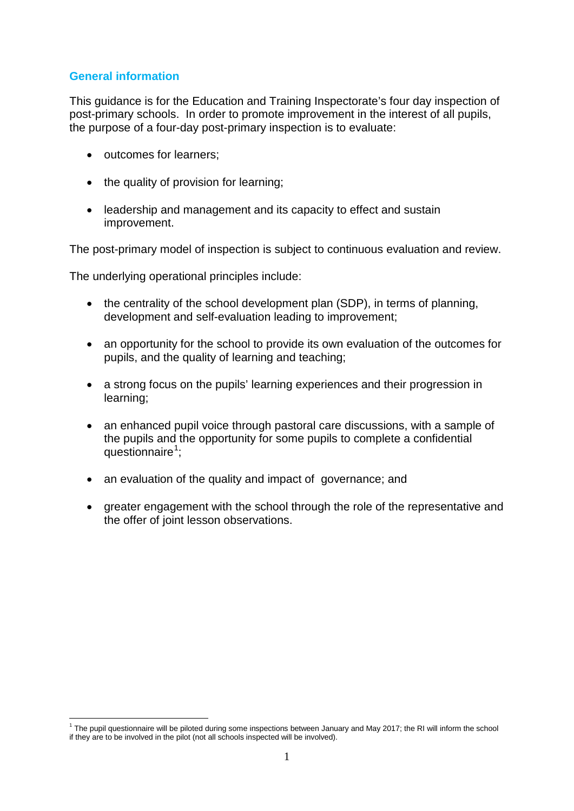#### <span id="page-2-0"></span>**General information**

This guidance is for the Education and Training Inspectorate's four day inspection of post-primary schools. In order to promote improvement in the interest of all pupils, the purpose of a four-day post-primary inspection is to evaluate:

- outcomes for learners;
- the quality of provision for learning;
- leadership and management and its capacity to effect and sustain improvement.

The post-primary model of inspection is subject to continuous evaluation and review.

The underlying operational principles include:

- the centrality of the school development plan (SDP), in terms of planning, development and self-evaluation leading to improvement;
- an opportunity for the school to provide its own evaluation of the outcomes for pupils, and the quality of learning and teaching;
- a strong focus on the pupils' learning experiences and their progression in learning;
- an enhanced pupil voice through pastoral care discussions, with a sample of the pupils and the opportunity for some pupils to complete a confidential questionnaire<sup>[1](#page-2-1)</sup>;
- an evaluation of the quality and impact of governance; and
- greater engagement with the school through the role of the representative and the offer of joint lesson observations.

<span id="page-2-1"></span><sup>&</sup>lt;sup>1</sup> The pupil questionnaire will be piloted during some inspections between January and May 2017; the RI will inform the school if they are to be involved in the pilot (not all schools inspected will be involved).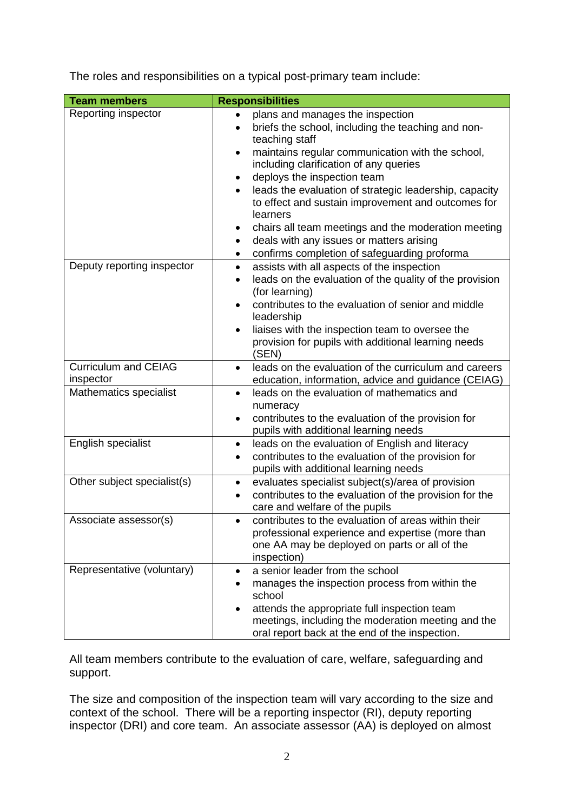The roles and responsibilities on a typical post-primary team include:

| <b>Team members</b>                      | <b>Responsibilities</b>                                                                                                                                                                                                                                                                                                                                                                                                                                                                                                                                               |
|------------------------------------------|-----------------------------------------------------------------------------------------------------------------------------------------------------------------------------------------------------------------------------------------------------------------------------------------------------------------------------------------------------------------------------------------------------------------------------------------------------------------------------------------------------------------------------------------------------------------------|
| Reporting inspector                      | plans and manages the inspection<br>briefs the school, including the teaching and non-<br>$\bullet$<br>teaching staff<br>maintains regular communication with the school,<br>$\bullet$<br>including clarification of any queries<br>deploys the inspection team<br>٠<br>leads the evaluation of strategic leadership, capacity<br>$\bullet$<br>to effect and sustain improvement and outcomes for<br>learners<br>chairs all team meetings and the moderation meeting<br>deals with any issues or matters arising<br>٠<br>confirms completion of safeguarding proforma |
| Deputy reporting inspector               | assists with all aspects of the inspection<br>$\bullet$<br>leads on the evaluation of the quality of the provision<br>$\bullet$<br>(for learning)<br>contributes to the evaluation of senior and middle<br>$\bullet$<br>leadership<br>liaises with the inspection team to oversee the<br>$\bullet$<br>provision for pupils with additional learning needs<br>(SEN)                                                                                                                                                                                                    |
| <b>Curriculum and CEIAG</b><br>inspector | leads on the evaluation of the curriculum and careers<br>$\bullet$<br>education, information, advice and guidance (CEIAG)                                                                                                                                                                                                                                                                                                                                                                                                                                             |
| Mathematics specialist                   | leads on the evaluation of mathematics and<br>$\bullet$<br>numeracy<br>contributes to the evaluation of the provision for<br>$\bullet$<br>pupils with additional learning needs                                                                                                                                                                                                                                                                                                                                                                                       |
| English specialist                       | leads on the evaluation of English and literacy<br>$\bullet$<br>contributes to the evaluation of the provision for<br>$\bullet$<br>pupils with additional learning needs                                                                                                                                                                                                                                                                                                                                                                                              |
| Other subject specialist(s)              | evaluates specialist subject(s)/area of provision<br>٠<br>contributes to the evaluation of the provision for the<br>$\bullet$<br>care and welfare of the pupils                                                                                                                                                                                                                                                                                                                                                                                                       |
| Associate assessor(s)                    | contributes to the evaluation of areas within their<br>professional experience and expertise (more than<br>one AA may be deployed on parts or all of the<br>inspection)                                                                                                                                                                                                                                                                                                                                                                                               |
| Representative (voluntary)               | a senior leader from the school<br>$\bullet$<br>manages the inspection process from within the<br>$\bullet$<br>school<br>attends the appropriate full inspection team<br>meetings, including the moderation meeting and the<br>oral report back at the end of the inspection.                                                                                                                                                                                                                                                                                         |

All team members contribute to the evaluation of care, welfare, safeguarding and support.

The size and composition of the inspection team will vary according to the size and context of the school. There will be a reporting inspector (RI), deputy reporting inspector (DRI) and core team. An associate assessor (AA) is deployed on almost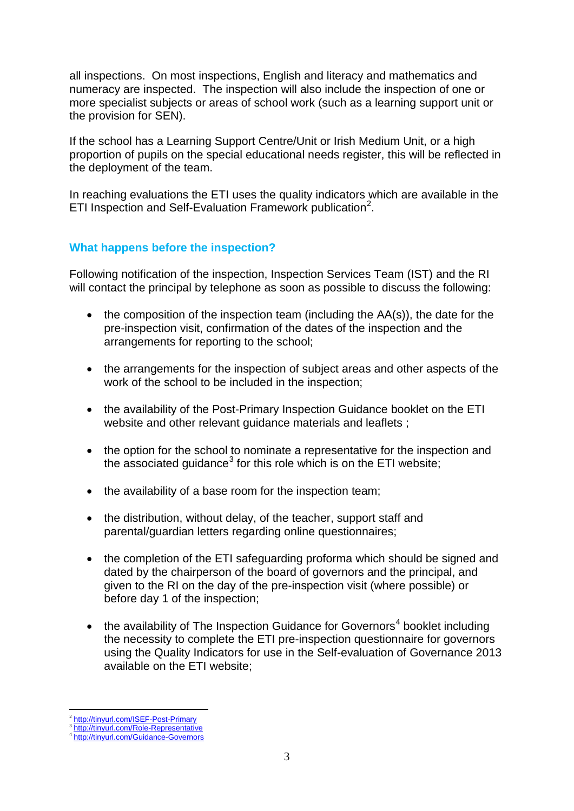all inspections. On most inspections, English and literacy and mathematics and numeracy are inspected. The inspection will also include the inspection of one or more specialist subjects or areas of school work (such as a learning support unit or the provision for SEN).

If the school has a Learning Support Centre/Unit or Irish Medium Unit, or a high proportion of pupils on the special educational needs register, this will be reflected in the deployment of the team.

In reaching evaluations the ETI uses the quality indicators which are available in the ETI Inspection and Self-Evaluation Framework publication<sup>[2](#page-4-1)</sup>.

#### <span id="page-4-0"></span>**What happens before the inspection?**

Following notification of the inspection, Inspection Services Team (IST) and the RI will contact the principal by telephone as soon as possible to discuss the following:

- the composition of the inspection team (including the  $AA(s)$ ), the date for the pre-inspection visit, confirmation of the dates of the inspection and the arrangements for reporting to the school;
- the arrangements for the inspection of subject areas and other aspects of the work of the school to be included in the inspection;
- the availability of the Post-Primary Inspection Guidance booklet on the ETI website and other relevant guidance materials and leaflets ;
- the option for the school to nominate a representative for the inspection and the associated quidance<sup>[3](#page-4-2)</sup> for this role which is on the ETI website:
- the availability of a base room for the inspection team;
- the distribution, without delay, of the teacher, support staff and parental/guardian letters regarding online questionnaires;
- the completion of the ETI safeguarding proforma which should be signed and dated by the chairperson of the board of governors and the principal, and given to the RI on the day of the pre-inspection visit (where possible) or before day 1 of the inspection;
- the availability of The Inspection Guidance for Governors<sup>[4](#page-4-3)</sup> booklet including the necessity to complete the ETI pre-inspection questionnaire for governors using the Quality Indicators for use in the Self-evaluation of Governance 2013 available on the ETI website;

<span id="page-4-2"></span><span id="page-4-1"></span><sup>&</sup>lt;sup>2</sup> <http://tinyurl.com/ISEF-Post-Primary><br><sup>3</sup> <http://tinyurl.com/Role-Representative><br><sup>4</sup> <http://tinyurl.com/Guidance-Governors>

<span id="page-4-3"></span>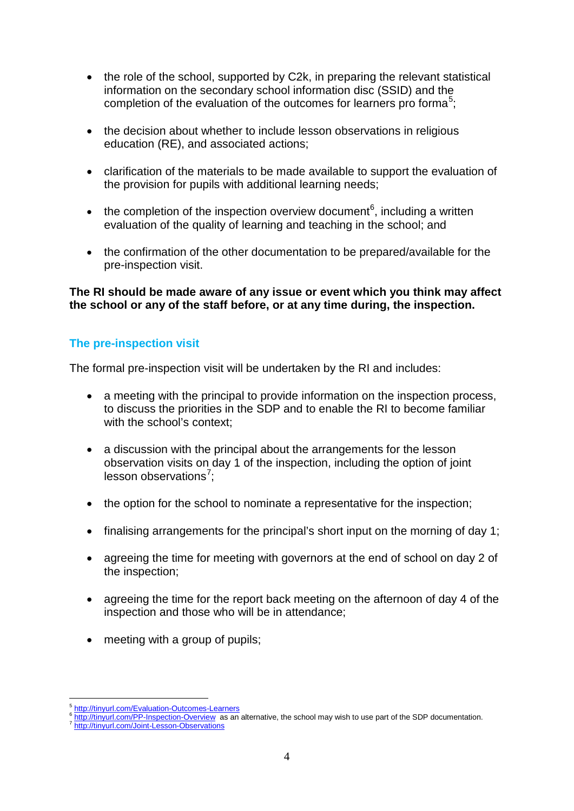- the role of the school, supported by C2k, in preparing the relevant statistical information on the secondary school information disc (SSID) and the completion of the evaluation of the outcomes for learners pro forma<sup>[5](#page-5-1)</sup>;
- the decision about whether to include lesson observations in religious education (RE), and associated actions;
- clarification of the materials to be made available to support the evaluation of the provision for pupils with additional learning needs;
- the completion of the inspection overview document<sup>[6](#page-5-2)</sup>, including a written evaluation of the quality of learning and teaching in the school; and
- the confirmation of the other documentation to be prepared/available for the pre-inspection visit.

**The RI should be made aware of any issue or event which you think may affect the school or any of the staff before, or at any time during, the inspection.**

#### <span id="page-5-0"></span>**The pre-inspection visit**

The formal pre-inspection visit will be undertaken by the RI and includes:

- a meeting with the principal to provide information on the inspection process, to discuss the priorities in the SDP and to enable the RI to become familiar with the school's context:
- a discussion with the principal about the arrangements for the lesson observation visits on day 1 of the inspection, including the option of joint lesson observations<sup>[7](#page-5-3)</sup>;
- the option for the school to nominate a representative for the inspection;
- finalising arrangements for the principal's short input on the morning of day 1;
- agreeing the time for meeting with governors at the end of school on day 2 of the inspection;
- agreeing the time for the report back meeting on the afternoon of day 4 of the inspection and those who will be in attendance;
- meeting with a group of pupils;

<span id="page-5-1"></span> $\frac{6 \text{ http://tinyurl.com/Evaluation-Outcomes-Learners}}{6 \text{ http://tinyurl.com/PP-Inspection-Overview}$  $\frac{6 \text{ http://tinyurl.com/Evaluation-Outcomes-Learners}}{6 \text{ http://tinyurl.com/PP-Inspection-Overview}$  $\frac{6 \text{ http://tinyurl.com/Evaluation-Outcomes-Learners}}{6 \text{ http://tinyurl.com/PP-Inspection-Overview}$  $\frac{6 \text{ http://tinyurl.com/Evaluation-Outcomes-Learners}}{6 \text{ http://tinyurl.com/PP-Inspection-Overview}$  $\frac{6 \text{ http://tinyurl.com/Evaluation-Outcomes-Learners}}{6 \text{ http://tinyurl.com/PP-Inspection-Overview}$  as an alternative, the school may wish to use part of the SDP documentation.<br> $\frac{7 \text{ http://tinyurl.com/Join-Lesson-Observations}}{7 \text{ http://tinyurl.com/Joint-Lesson-Observations}}$  $\frac{7 \text{ http://tinyurl.com/Join-Lesson-Observations}}{7 \text{ http://tinyurl.com/Joint-Lesson-Observations}}$  $\frac{7 \text{ http://tinyurl.com/Join-Lesson-Observations}}{7 \text{ http://tinyurl.com/Joint-Lesson-Observations}}$ 

<span id="page-5-3"></span><span id="page-5-2"></span>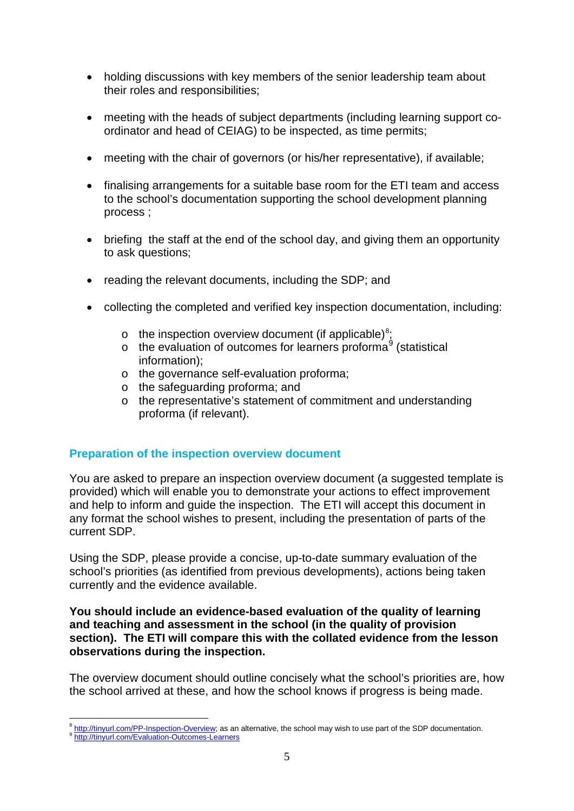- holding discussions with key members of the senior leadership team about their roles and responsibilities;
- meeting with the heads of subject departments (including learning support coordinator and head of CEIAG) to be inspected, as time permits;
- meeting with the chair of governors (or his/her representative), if available:
- finalising arrangements for a suitable base room for the ETI team and access to the school's documentation supporting the school development planning process ;
- briefing the staff at the end of the school day, and giving them an opportunity to ask questions;
- reading the relevant documents, including the SDP; and
- collecting the completed and verified key inspection documentation, including:
	- o the inspection overview document (if applicable)<sup>[8](#page-6-1)</sup>;
	- o the evaluation of outcomes for learners proforma<sup>[9](#page-6-2)</sup> (statistical information);
	- o the governance self-evaluation proforma;
	- o the safeguarding proforma; and
	- o the representative's statement of commitment and understanding proforma (if relevant).

#### <span id="page-6-0"></span>**Preparation of the inspection overview document**

You are asked to prepare an inspection overview document (a suggested template is provided) which will enable you to demonstrate your actions to effect improvement and help to inform and guide the inspection. The ETI will accept this document in any format the school wishes to present, including the presentation of parts of the current SDP.

Using the SDP, please provide a concise, up-to-date summary evaluation of the school's priorities (as identified from previous developments), actions being taken currently and the evidence available.

#### **You should include an evidence-based evaluation of the quality of learning and teaching and assessment in the school (in the quality of provision section). The ETI will compare this with the collated evidence from the lesson observations during the inspection.**

The overview document should outline concisely what the school's priorities are, how the school arrived at these, and how the school knows if progress is being made.

<span id="page-6-2"></span><span id="page-6-1"></span> $\frac{8}{9}$  [http://tinyurl.com/PP-Inspection-Overview;](http://tinyurl.com/PP-Inspection-Overview) as an alternative, the school may wish to use part of the SDP documentation.<br> $\frac{9}{10}$ <http://tinyurl.com/Evaluation-Outcomes-Learners>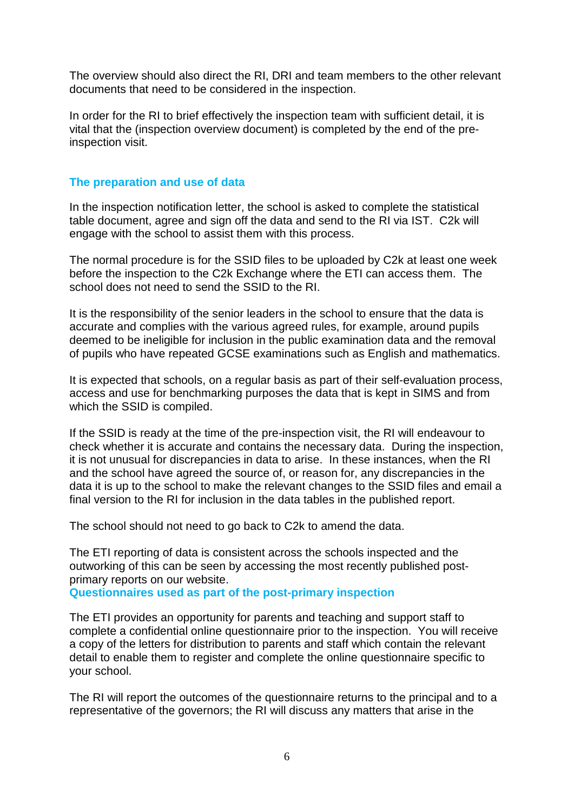The overview should also direct the RI, DRI and team members to the other relevant documents that need to be considered in the inspection.

In order for the RI to brief effectively the inspection team with sufficient detail, it is vital that the (inspection overview document) is completed by the end of the preinspection visit.

#### <span id="page-7-0"></span>**The preparation and use of data**

In the inspection notification letter, the school is asked to complete the statistical table document, agree and sign off the data and send to the RI via IST. C2k will engage with the school to assist them with this process.

The normal procedure is for the SSID files to be uploaded by C2k at least one week before the inspection to the C2k Exchange where the ETI can access them. The school does not need to send the SSID to the RI.

It is the responsibility of the senior leaders in the school to ensure that the data is accurate and complies with the various agreed rules, for example, around pupils deemed to be ineligible for inclusion in the public examination data and the removal of pupils who have repeated GCSE examinations such as English and mathematics.

It is expected that schools, on a regular basis as part of their self-evaluation process, access and use for benchmarking purposes the data that is kept in SIMS and from which the SSID is compiled.

If the SSID is ready at the time of the pre-inspection visit, the RI will endeavour to check whether it is accurate and contains the necessary data. During the inspection, it is not unusual for discrepancies in data to arise. In these instances, when the RI and the school have agreed the source of, or reason for, any discrepancies in the data it is up to the school to make the relevant changes to the SSID files and email a final version to the RI for inclusion in the data tables in the published report.

The school should not need to go back to C2k to amend the data.

The ETI reporting of data is consistent across the schools inspected and the outworking of this can be seen by accessing the most recently published postprimary reports on our website.

**Questionnaires used as part of the post-primary inspection**

The ETI provides an opportunity for parents and teaching and support staff to complete a confidential online questionnaire prior to the inspection. You will receive a copy of the letters for distribution to parents and staff which contain the relevant detail to enable them to register and complete the online questionnaire specific to your school.

The RI will report the outcomes of the questionnaire returns to the principal and to a representative of the governors; the RI will discuss any matters that arise in the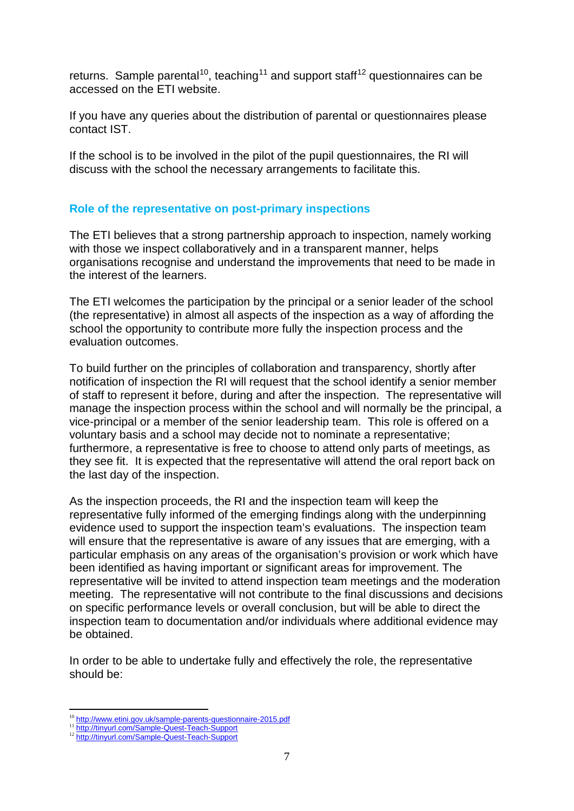returns. Sample parental<sup>[10](#page-8-1)</sup>, teaching<sup>[11](#page-8-2)</sup> and support staff<sup>[12](#page-8-3)</sup> questionnaires can be accessed on the ETI website.

If you have any queries about the distribution of parental or questionnaires please contact IST.

If the school is to be involved in the pilot of the pupil questionnaires, the RI will discuss with the school the necessary arrangements to facilitate this.

#### <span id="page-8-0"></span>**Role of the representative on post-primary inspections**

The ETI believes that a strong partnership approach to inspection, namely working with those we inspect collaboratively and in a transparent manner, helps organisations recognise and understand the improvements that need to be made in the interest of the learners.

The ETI welcomes the participation by the principal or a senior leader of the school (the representative) in almost all aspects of the inspection as a way of affording the school the opportunity to contribute more fully the inspection process and the evaluation outcomes.

To build further on the principles of collaboration and transparency, shortly after notification of inspection the RI will request that the school identify a senior member of staff to represent it before, during and after the inspection. The representative will manage the inspection process within the school and will normally be the principal, a vice-principal or a member of the senior leadership team. This role is offered on a voluntary basis and a school may decide not to nominate a representative; furthermore, a representative is free to choose to attend only parts of meetings, as they see fit. It is expected that the representative will attend the oral report back on the last day of the inspection.

As the inspection proceeds, the RI and the inspection team will keep the representative fully informed of the emerging findings along with the underpinning evidence used to support the inspection team's evaluations. The inspection team will ensure that the representative is aware of any issues that are emerging, with a particular emphasis on any areas of the organisation's provision or work which have been identified as having important or significant areas for improvement. The representative will be invited to attend inspection team meetings and the moderation meeting. The representative will not contribute to the final discussions and decisions on specific performance levels or overall conclusion, but will be able to direct the inspection team to documentation and/or individuals where additional evidence may be obtained.

In order to be able to undertake fully and effectively the role, the representative should be:

<span id="page-8-2"></span><span id="page-8-1"></span><sup>&</sup>lt;sup>10</sup> <http://www.etini.gov.uk/sample-parents-questionnaire-2015.pdf><br><sup>11</sup> <http://tinyurl.com/Sample-Quest-Teach-Support><br><sup>12</sup> http://tinyurl.com/Sample-Quest-Teach-Support

<span id="page-8-3"></span>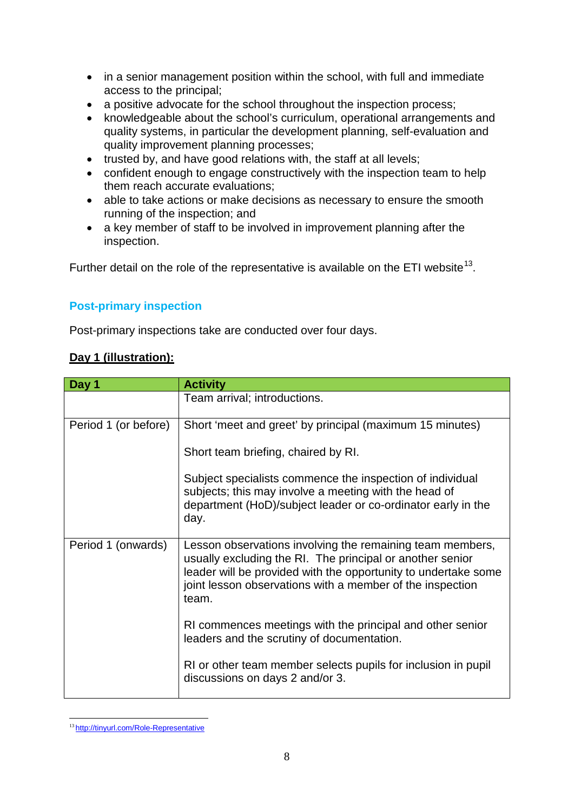- in a senior management position within the school, with full and immediate access to the principal;
- a positive advocate for the school throughout the inspection process;
- knowledgeable about the school's curriculum, operational arrangements and quality systems, in particular the development planning, self-evaluation and quality improvement planning processes;
- trusted by, and have good relations with, the staff at all levels;
- confident enough to engage constructively with the inspection team to help them reach accurate evaluations;
- able to take actions or make decisions as necessary to ensure the smooth running of the inspection; and
- a key member of staff to be involved in improvement planning after the inspection.

<span id="page-9-0"></span>Further detail on the role of the representative is available on the ETI website<sup>[13](#page-9-1)</sup>.

#### **Post-primary inspection**

Post-primary inspections take are conducted over four days.

#### **Day 1 (illustration):**

| Day 1                | <b>Activity</b>                                                                                                                                                                                                                                                |
|----------------------|----------------------------------------------------------------------------------------------------------------------------------------------------------------------------------------------------------------------------------------------------------------|
|                      | Team arrival; introductions.                                                                                                                                                                                                                                   |
| Period 1 (or before) | Short 'meet and greet' by principal (maximum 15 minutes)                                                                                                                                                                                                       |
|                      | Short team briefing, chaired by RI.                                                                                                                                                                                                                            |
|                      | Subject specialists commence the inspection of individual<br>subjects; this may involve a meeting with the head of<br>department (HoD)/subject leader or co-ordinator early in the<br>day.                                                                     |
| Period 1 (onwards)   | Lesson observations involving the remaining team members,<br>usually excluding the RI. The principal or another senior<br>leader will be provided with the opportunity to undertake some<br>joint lesson observations with a member of the inspection<br>team. |
|                      | RI commences meetings with the principal and other senior<br>leaders and the scrutiny of documentation.                                                                                                                                                        |
|                      | RI or other team member selects pupils for inclusion in pupil<br>discussions on days 2 and/or 3.                                                                                                                                                               |

<span id="page-9-1"></span> <sup>13</sup> <http://tinyurl.com/Role-Representative>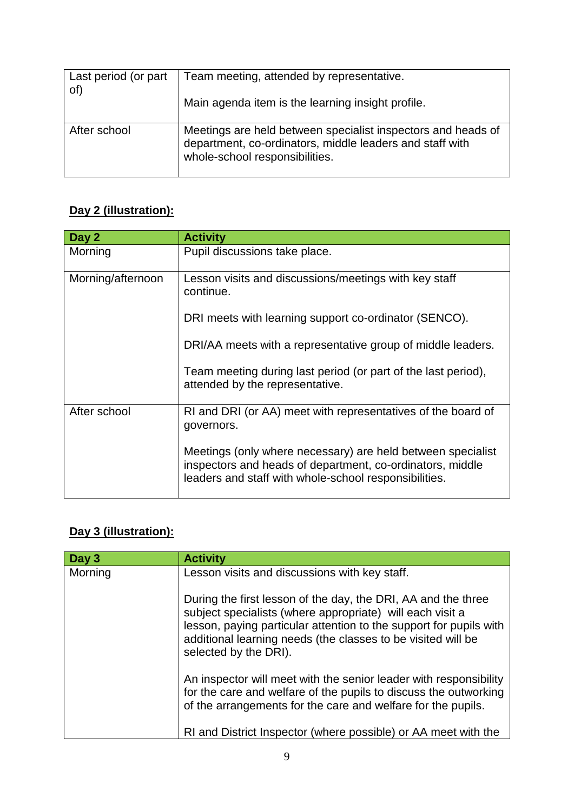| Last period (or part<br>of) | Team meeting, attended by representative.                                                                                                                  |
|-----------------------------|------------------------------------------------------------------------------------------------------------------------------------------------------------|
|                             | Main agenda item is the learning insight profile.                                                                                                          |
| After school                | Meetings are held between specialist inspectors and heads of<br>department, co-ordinators, middle leaders and staff with<br>whole-school responsibilities. |

## **Day 2 (illustration):**

| Day 2             | <b>Activity</b>                                                                                                                                                                   |
|-------------------|-----------------------------------------------------------------------------------------------------------------------------------------------------------------------------------|
| Morning           | Pupil discussions take place.                                                                                                                                                     |
| Morning/afternoon | Lesson visits and discussions/meetings with key staff<br>continue.                                                                                                                |
|                   | DRI meets with learning support co-ordinator (SENCO).                                                                                                                             |
|                   | DRI/AA meets with a representative group of middle leaders.                                                                                                                       |
|                   | Team meeting during last period (or part of the last period),<br>attended by the representative.                                                                                  |
| After school      | RI and DRI (or AA) meet with representatives of the board of<br>governors.                                                                                                        |
|                   | Meetings (only where necessary) are held between specialist<br>inspectors and heads of department, co-ordinators, middle<br>leaders and staff with whole-school responsibilities. |

## **Day 3 (illustration):**

| Day 3   | <b>Activity</b>                                                                                                                                                                                                                                                                           |
|---------|-------------------------------------------------------------------------------------------------------------------------------------------------------------------------------------------------------------------------------------------------------------------------------------------|
| Morning | Lesson visits and discussions with key staff.                                                                                                                                                                                                                                             |
|         | During the first lesson of the day, the DRI, AA and the three<br>subject specialists (where appropriate) will each visit a<br>lesson, paying particular attention to the support for pupils with<br>additional learning needs (the classes to be visited will be<br>selected by the DRI). |
|         | An inspector will meet with the senior leader with responsibility<br>for the care and welfare of the pupils to discuss the outworking<br>of the arrangements for the care and welfare for the pupils.                                                                                     |
|         | RI and District Inspector (where possible) or AA meet with the                                                                                                                                                                                                                            |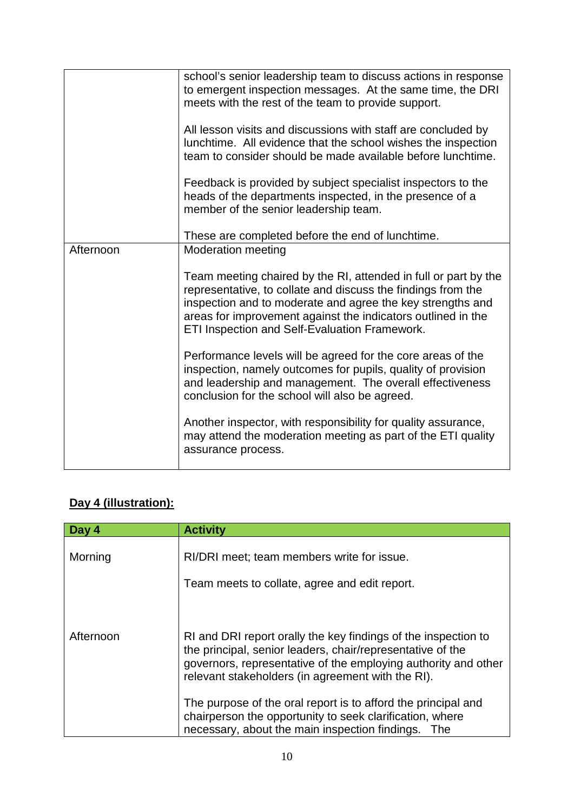|           | school's senior leadership team to discuss actions in response<br>to emergent inspection messages. At the same time, the DRI<br>meets with the rest of the team to provide support.                                                                                                                            |
|-----------|----------------------------------------------------------------------------------------------------------------------------------------------------------------------------------------------------------------------------------------------------------------------------------------------------------------|
|           | All lesson visits and discussions with staff are concluded by<br>lunchtime. All evidence that the school wishes the inspection<br>team to consider should be made available before lunchtime.                                                                                                                  |
|           | Feedback is provided by subject specialist inspectors to the<br>heads of the departments inspected, in the presence of a<br>member of the senior leadership team.                                                                                                                                              |
|           | These are completed before the end of lunchtime.                                                                                                                                                                                                                                                               |
| Afternoon | <b>Moderation meeting</b>                                                                                                                                                                                                                                                                                      |
|           | Team meeting chaired by the RI, attended in full or part by the<br>representative, to collate and discuss the findings from the<br>inspection and to moderate and agree the key strengths and<br>areas for improvement against the indicators outlined in the<br>ETI Inspection and Self-Evaluation Framework. |
|           | Performance levels will be agreed for the core areas of the<br>inspection, namely outcomes for pupils, quality of provision<br>and leadership and management. The overall effectiveness<br>conclusion for the school will also be agreed.                                                                      |
|           | Another inspector, with responsibility for quality assurance,<br>may attend the moderation meeting as part of the ETI quality<br>assurance process.                                                                                                                                                            |

## **Day 4 (illustration):**

| Day 4     | <b>Activity</b>                                                                                                                                                                                                                                     |
|-----------|-----------------------------------------------------------------------------------------------------------------------------------------------------------------------------------------------------------------------------------------------------|
| Morning   | RI/DRI meet; team members write for issue.<br>Team meets to collate, agree and edit report.                                                                                                                                                         |
| Afternoon | RI and DRI report orally the key findings of the inspection to<br>the principal, senior leaders, chair/representative of the<br>governors, representative of the employing authority and other<br>relevant stakeholders (in agreement with the RI). |
|           | The purpose of the oral report is to afford the principal and<br>chairperson the opportunity to seek clarification, where<br>necessary, about the main inspection findings.<br>- The                                                                |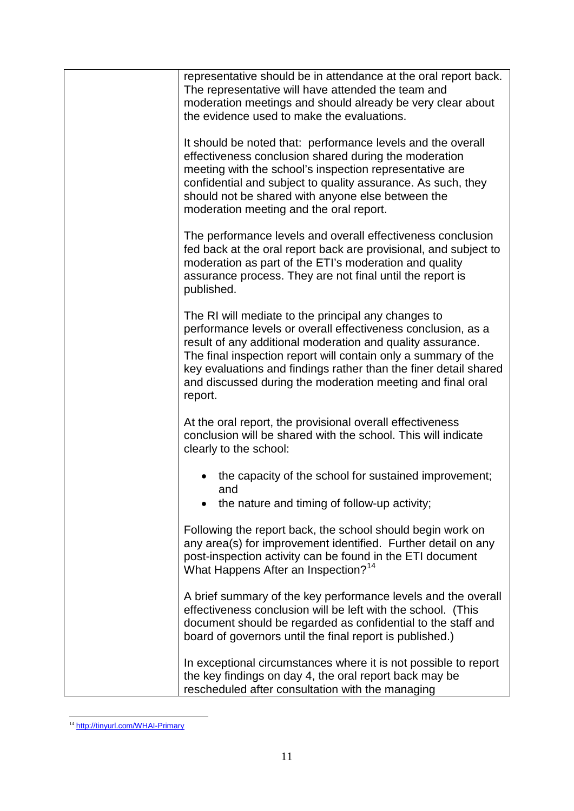| representative should be in attendance at the oral report back.<br>The representative will have attended the team and<br>moderation meetings and should already be very clear about<br>the evidence used to make the evaluations.                                                                                                                                                                |
|--------------------------------------------------------------------------------------------------------------------------------------------------------------------------------------------------------------------------------------------------------------------------------------------------------------------------------------------------------------------------------------------------|
| It should be noted that: performance levels and the overall<br>effectiveness conclusion shared during the moderation<br>meeting with the school's inspection representative are<br>confidential and subject to quality assurance. As such, they<br>should not be shared with anyone else between the<br>moderation meeting and the oral report.                                                  |
| The performance levels and overall effectiveness conclusion<br>fed back at the oral report back are provisional, and subject to<br>moderation as part of the ETI's moderation and quality<br>assurance process. They are not final until the report is<br>published.                                                                                                                             |
| The RI will mediate to the principal any changes to<br>performance levels or overall effectiveness conclusion, as a<br>result of any additional moderation and quality assurance.<br>The final inspection report will contain only a summary of the<br>key evaluations and findings rather than the finer detail shared<br>and discussed during the moderation meeting and final oral<br>report. |
| At the oral report, the provisional overall effectiveness<br>conclusion will be shared with the school. This will indicate<br>clearly to the school:                                                                                                                                                                                                                                             |
| the capacity of the school for sustained improvement;<br>and<br>the nature and timing of follow-up activity;                                                                                                                                                                                                                                                                                     |
| Following the report back, the school should begin work on<br>any area(s) for improvement identified. Further detail on any<br>post-inspection activity can be found in the ETI document<br>What Happens After an Inspection? <sup>14</sup>                                                                                                                                                      |
| A brief summary of the key performance levels and the overall<br>effectiveness conclusion will be left with the school. (This<br>document should be regarded as confidential to the staff and<br>board of governors until the final report is published.)                                                                                                                                        |
| In exceptional circumstances where it is not possible to report<br>the key findings on day 4, the oral report back may be<br>rescheduled after consultation with the managing                                                                                                                                                                                                                    |

<span id="page-12-0"></span><sup>&</sup>lt;sup>14</sup> <http://tinyurl.com/WHAI-Primary>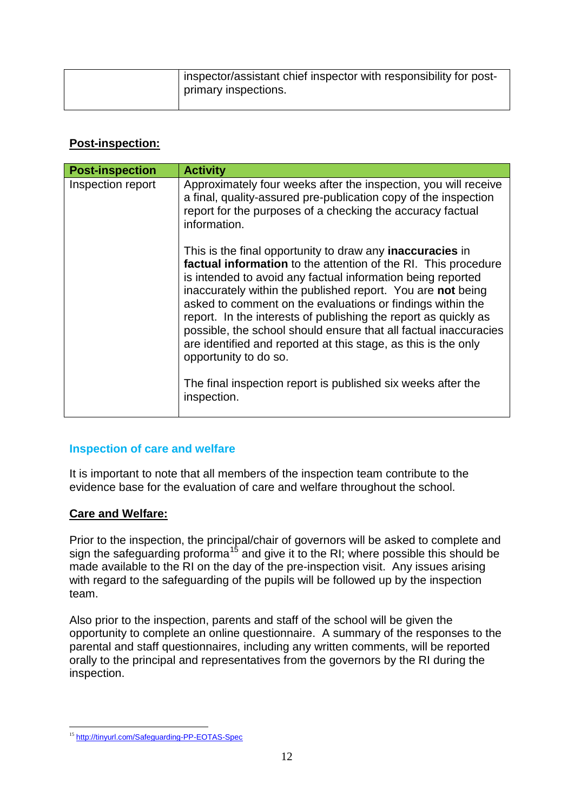| inspector/assistant chief inspector with responsibility for post- |
|-------------------------------------------------------------------|
| primary inspections.                                              |

#### **Post-inspection:**

| <b>Post-inspection</b> | <b>Activity</b>                                                                                                                                                                                                                                                                                                                                                                                                                                                                                                                                                  |
|------------------------|------------------------------------------------------------------------------------------------------------------------------------------------------------------------------------------------------------------------------------------------------------------------------------------------------------------------------------------------------------------------------------------------------------------------------------------------------------------------------------------------------------------------------------------------------------------|
| Inspection report      | Approximately four weeks after the inspection, you will receive<br>a final, quality-assured pre-publication copy of the inspection<br>report for the purposes of a checking the accuracy factual<br>information.                                                                                                                                                                                                                                                                                                                                                 |
|                        | This is the final opportunity to draw any <b>inaccuracies</b> in<br>factual information to the attention of the RI. This procedure<br>is intended to avoid any factual information being reported<br>inaccurately within the published report. You are not being<br>asked to comment on the evaluations or findings within the<br>report. In the interests of publishing the report as quickly as<br>possible, the school should ensure that all factual inaccuracies<br>are identified and reported at this stage, as this is the only<br>opportunity to do so. |
|                        | The final inspection report is published six weeks after the<br>inspection.                                                                                                                                                                                                                                                                                                                                                                                                                                                                                      |

#### <span id="page-13-0"></span>**Inspection of care and welfare**

It is important to note that all members of the inspection team contribute to the evidence base for the evaluation of care and welfare throughout the school.

#### **Care and Welfare:**

Prior to the inspection, the principal/chair of governors will be asked to complete and sign the safeguarding proforma<sup>[15](#page-13-1)</sup> and give it to the RI; where possible this should be made available to the RI on the day of the pre-inspection visit. Any issues arising with regard to the safeguarding of the pupils will be followed up by the inspection team.

Also prior to the inspection, parents and staff of the school will be given the opportunity to complete an online questionnaire. A summary of the responses to the parental and staff questionnaires, including any written comments, will be reported orally to the principal and representatives from the governors by the RI during the inspection.

<span id="page-13-1"></span> <sup>15</sup> <http://tinyurl.com/Safeguarding-PP-EOTAS-Spec>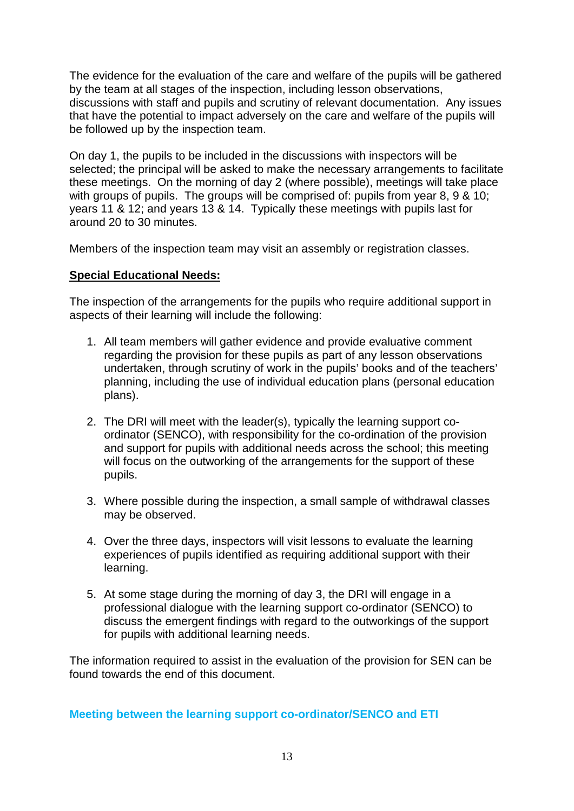The evidence for the evaluation of the care and welfare of the pupils will be gathered by the team at all stages of the inspection, including lesson observations, discussions with staff and pupils and scrutiny of relevant documentation. Any issues that have the potential to impact adversely on the care and welfare of the pupils will be followed up by the inspection team.

On day 1, the pupils to be included in the discussions with inspectors will be selected; the principal will be asked to make the necessary arrangements to facilitate these meetings. On the morning of day 2 (where possible), meetings will take place with groups of pupils. The groups will be comprised of: pupils from year 8, 9 & 10; years 11 & 12; and years 13 & 14. Typically these meetings with pupils last for around 20 to 30 minutes.

Members of the inspection team may visit an assembly or registration classes.

#### **Special Educational Needs:**

The inspection of the arrangements for the pupils who require additional support in aspects of their learning will include the following:

- 1. All team members will gather evidence and provide evaluative comment regarding the provision for these pupils as part of any lesson observations undertaken, through scrutiny of work in the pupils' books and of the teachers' planning, including the use of individual education plans (personal education plans).
- 2. The DRI will meet with the leader(s), typically the learning support coordinator (SENCO), with responsibility for the co-ordination of the provision and support for pupils with additional needs across the school; this meeting will focus on the outworking of the arrangements for the support of these pupils.
- 3. Where possible during the inspection, a small sample of withdrawal classes may be observed.
- 4. Over the three days, inspectors will visit lessons to evaluate the learning experiences of pupils identified as requiring additional support with their learning.
- 5. At some stage during the morning of day 3, the DRI will engage in a professional dialogue with the learning support co-ordinator (SENCO) to discuss the emergent findings with regard to the outworkings of the support for pupils with additional learning needs.

The information required to assist in the evaluation of the provision for SEN can be found towards the end of this document.

<span id="page-14-0"></span>**Meeting between the learning support co-ordinator/SENCO and ETI**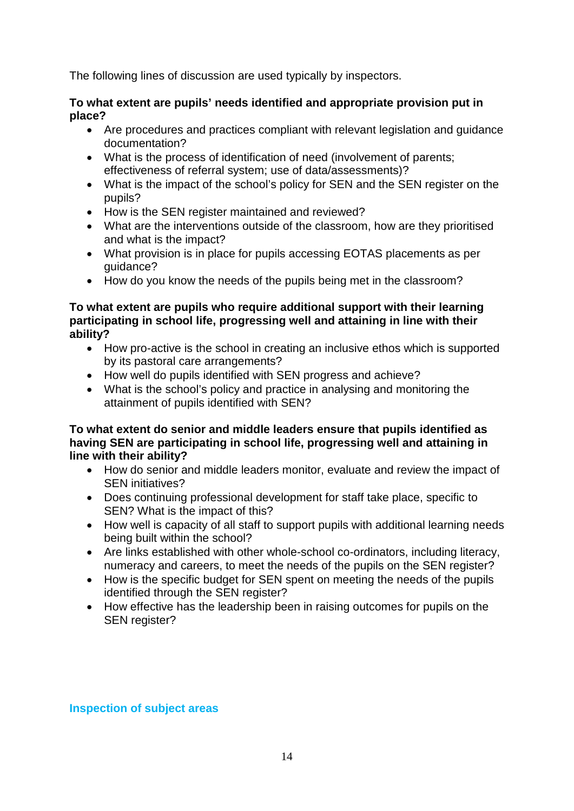The following lines of discussion are used typically by inspectors.

#### **To what extent are pupils' needs identified and appropriate provision put in place?**

- Are procedures and practices compliant with relevant legislation and guidance documentation?
- What is the process of identification of need (involvement of parents; effectiveness of referral system; use of data/assessments)?
- What is the impact of the school's policy for SEN and the SEN register on the pupils?
- How is the SEN register maintained and reviewed?
- What are the interventions outside of the classroom, how are they prioritised and what is the impact?
- What provision is in place for pupils accessing EOTAS placements as per guidance?
- How do you know the needs of the pupils being met in the classroom?

#### **To what extent are pupils who require additional support with their learning participating in school life, progressing well and attaining in line with their ability?**

- How pro-active is the school in creating an inclusive ethos which is supported by its pastoral care arrangements?
- How well do pupils identified with SEN progress and achieve?
- What is the school's policy and practice in analysing and monitoring the attainment of pupils identified with SEN?

#### **To what extent do senior and middle leaders ensure that pupils identified as having SEN are participating in school life, progressing well and attaining in line with their ability?**

- How do senior and middle leaders monitor, evaluate and review the impact of SEN initiatives?
- Does continuing professional development for staff take place, specific to SEN? What is the impact of this?
- How well is capacity of all staff to support pupils with additional learning needs being built within the school?
- Are links established with other whole-school co-ordinators, including literacy, numeracy and careers, to meet the needs of the pupils on the SEN register?
- How is the specific budget for SEN spent on meeting the needs of the pupils identified through the SEN register?
- How effective has the leadership been in raising outcomes for pupils on the SEN register?

#### **Inspection of subject areas**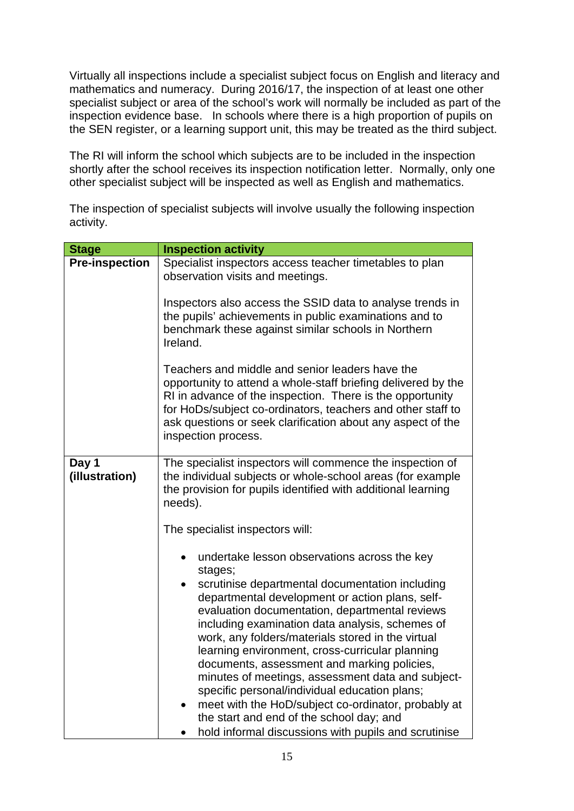Virtually all inspections include a specialist subject focus on English and literacy and mathematics and numeracy. During 2016/17, the inspection of at least one other specialist subject or area of the school's work will normally be included as part of the inspection evidence base. In schools where there is a high proportion of pupils on the SEN register, or a learning support unit, this may be treated as the third subject.

The RI will inform the school which subjects are to be included in the inspection shortly after the school receives its inspection notification letter. Normally, only one other specialist subject will be inspected as well as English and mathematics.

The inspection of specialist subjects will involve usually the following inspection activity.

| <b>Stage</b>            | <b>Inspection activity</b>                                                                                                                                                                                                                                                                                                                                                  |
|-------------------------|-----------------------------------------------------------------------------------------------------------------------------------------------------------------------------------------------------------------------------------------------------------------------------------------------------------------------------------------------------------------------------|
| <b>Pre-inspection</b>   | Specialist inspectors access teacher timetables to plan<br>observation visits and meetings.                                                                                                                                                                                                                                                                                 |
|                         | Inspectors also access the SSID data to analyse trends in<br>the pupils' achievements in public examinations and to<br>benchmark these against similar schools in Northern<br>Ireland.                                                                                                                                                                                      |
|                         | Teachers and middle and senior leaders have the<br>opportunity to attend a whole-staff briefing delivered by the<br>RI in advance of the inspection. There is the opportunity<br>for HoDs/subject co-ordinators, teachers and other staff to<br>ask questions or seek clarification about any aspect of the<br>inspection process.                                          |
| Day 1<br>(illustration) | The specialist inspectors will commence the inspection of<br>the individual subjects or whole-school areas (for example<br>the provision for pupils identified with additional learning<br>needs).                                                                                                                                                                          |
|                         | The specialist inspectors will:                                                                                                                                                                                                                                                                                                                                             |
|                         | undertake lesson observations across the key<br>$\bullet$<br>stages;                                                                                                                                                                                                                                                                                                        |
|                         | scrutinise departmental documentation including<br>$\bullet$<br>departmental development or action plans, self-<br>evaluation documentation, departmental reviews<br>including examination data analysis, schemes of<br>work, any folders/materials stored in the virtual<br>learning environment, cross-curricular planning<br>documents, assessment and marking policies, |
|                         | minutes of meetings, assessment data and subject-<br>specific personal/individual education plans;<br>meet with the HoD/subject co-ordinator, probably at<br>$\bullet$<br>the start and end of the school day; and                                                                                                                                                          |
|                         | hold informal discussions with pupils and scrutinise                                                                                                                                                                                                                                                                                                                        |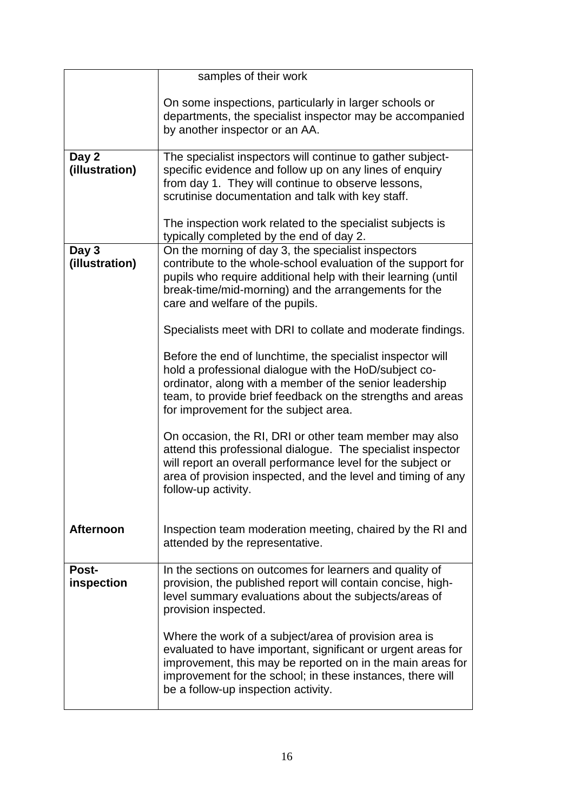| samples of their work |                                                                                                                       |  |
|-----------------------|-----------------------------------------------------------------------------------------------------------------------|--|
|                       |                                                                                                                       |  |
|                       | On some inspections, particularly in larger schools or                                                                |  |
|                       | departments, the specialist inspector may be accompanied                                                              |  |
|                       | by another inspector or an AA.                                                                                        |  |
|                       |                                                                                                                       |  |
| Day 2                 | The specialist inspectors will continue to gather subject-                                                            |  |
| (illustration)        | specific evidence and follow up on any lines of enquiry                                                               |  |
|                       | from day 1. They will continue to observe lessons,<br>scrutinise documentation and talk with key staff.               |  |
|                       |                                                                                                                       |  |
|                       | The inspection work related to the specialist subjects is                                                             |  |
|                       | typically completed by the end of day 2.                                                                              |  |
| Day 3                 | On the morning of day 3, the specialist inspectors                                                                    |  |
| (illustration)        | contribute to the whole-school evaluation of the support for                                                          |  |
|                       | pupils who require additional help with their learning (until                                                         |  |
|                       | break-time/mid-morning) and the arrangements for the                                                                  |  |
|                       | care and welfare of the pupils.                                                                                       |  |
|                       | Specialists meet with DRI to collate and moderate findings.                                                           |  |
|                       |                                                                                                                       |  |
|                       | Before the end of lunchtime, the specialist inspector will                                                            |  |
|                       | hold a professional dialogue with the HoD/subject co-<br>ordinator, along with a member of the senior leadership      |  |
|                       | team, to provide brief feedback on the strengths and areas                                                            |  |
|                       | for improvement for the subject area.                                                                                 |  |
|                       |                                                                                                                       |  |
|                       | On occasion, the RI, DRI or other team member may also<br>attend this professional dialogue. The specialist inspector |  |
|                       | will report an overall performance level for the subject or                                                           |  |
|                       | area of provision inspected, and the level and timing of any                                                          |  |
|                       | follow-up activity.                                                                                                   |  |
|                       |                                                                                                                       |  |
| <b>Afternoon</b>      | Inspection team moderation meeting, chaired by the RI and                                                             |  |
|                       | attended by the representative.                                                                                       |  |
|                       |                                                                                                                       |  |
| Post-                 | In the sections on outcomes for learners and quality of                                                               |  |
| inspection            | provision, the published report will contain concise, high-                                                           |  |
|                       | level summary evaluations about the subjects/areas of                                                                 |  |
|                       | provision inspected.                                                                                                  |  |
|                       | Where the work of a subject/area of provision area is                                                                 |  |
|                       | evaluated to have important, significant or urgent areas for                                                          |  |
|                       | improvement, this may be reported on in the main areas for                                                            |  |
|                       | improvement for the school; in these instances, there will                                                            |  |
|                       | be a follow-up inspection activity.                                                                                   |  |
|                       |                                                                                                                       |  |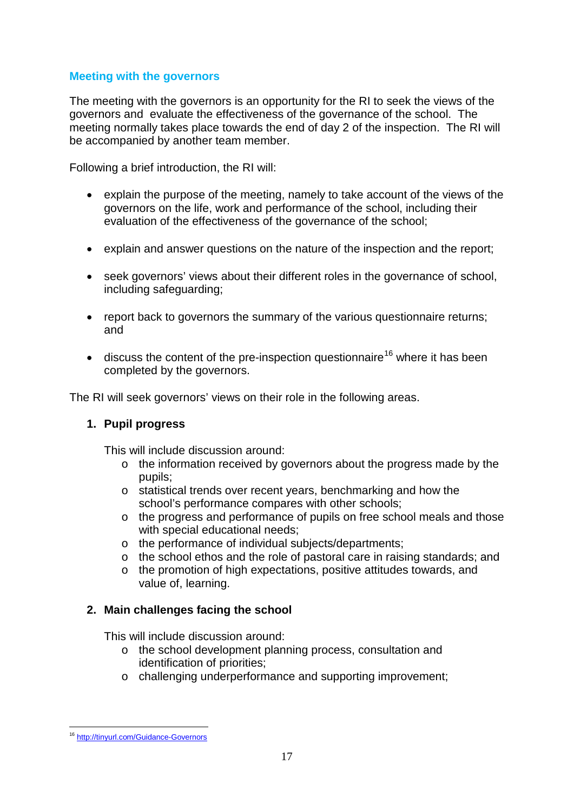#### **Meeting with the governors**

The meeting with the governors is an opportunity for the RI to seek the views of the governors and evaluate the effectiveness of the governance of the school. The meeting normally takes place towards the end of day 2 of the inspection. The RI will be accompanied by another team member.

Following a brief introduction, the RI will:

- explain the purpose of the meeting, namely to take account of the views of the governors on the life, work and performance of the school, including their evaluation of the effectiveness of the governance of the school;
- explain and answer questions on the nature of the inspection and the report;
- seek governors' views about their different roles in the governance of school, including safeguarding;
- report back to governors the summary of the various questionnaire returns; and
- discuss the content of the pre-inspection questionnaire<sup>[16](#page-18-0)</sup> where it has been completed by the governors.

The RI will seek governors' views on their role in the following areas.

#### **1. Pupil progress**

This will include discussion around:

- o the information received by governors about the progress made by the pupils;
- o statistical trends over recent years, benchmarking and how the school's performance compares with other schools;
- o the progress and performance of pupils on free school meals and those with special educational needs;
- o the performance of individual subjects/departments;
- o the school ethos and the role of pastoral care in raising standards; and
- o the promotion of high expectations, positive attitudes towards, and value of, learning.

#### **2. Main challenges facing the school**

This will include discussion around:

- o the school development planning process, consultation and identification of priorities;
- o challenging underperformance and supporting improvement;

<span id="page-18-0"></span><sup>16</sup> <http://tinyurl.com/Guidance-Governors>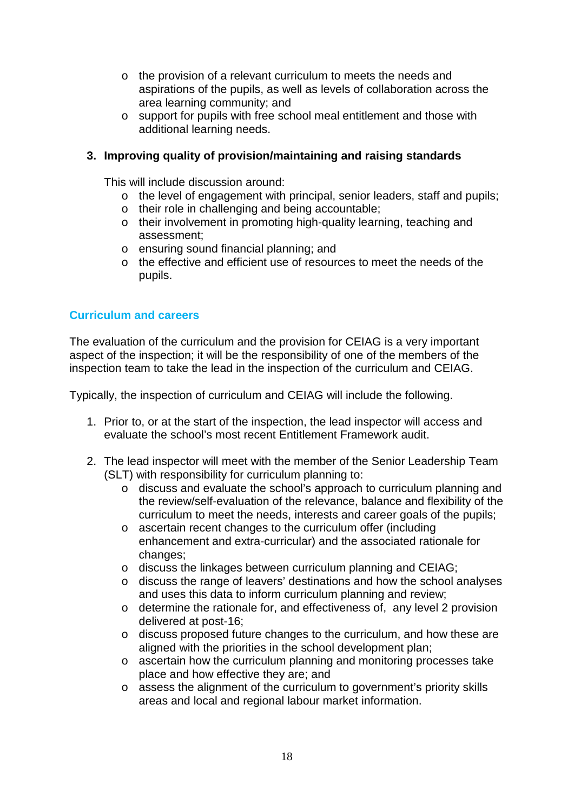- o the provision of a relevant curriculum to meets the needs and aspirations of the pupils, as well as levels of collaboration across the area learning community; and
- o support for pupils with free school meal entitlement and those with additional learning needs.

#### **3. Improving quality of provision/maintaining and raising standards**

This will include discussion around:

- o the level of engagement with principal, senior leaders, staff and pupils;
- o their role in challenging and being accountable;
- o their involvement in promoting high-quality learning, teaching and assessment;
- o ensuring sound financial planning; and
- o the effective and efficient use of resources to meet the needs of the pupils.

#### **Curriculum and careers**

The evaluation of the curriculum and the provision for CEIAG is a very important aspect of the inspection; it will be the responsibility of one of the members of the inspection team to take the lead in the inspection of the curriculum and CEIAG.

Typically, the inspection of curriculum and CEIAG will include the following.

- 1. Prior to, or at the start of the inspection, the lead inspector will access and evaluate the school's most recent Entitlement Framework audit.
- 2. The lead inspector will meet with the member of the Senior Leadership Team (SLT) with responsibility for curriculum planning to:
	- o discuss and evaluate the school's approach to curriculum planning and the review/self-evaluation of the relevance, balance and flexibility of the curriculum to meet the needs, interests and career goals of the pupils;
	- o ascertain recent changes to the curriculum offer (including enhancement and extra-curricular) and the associated rationale for changes;
	- o discuss the linkages between curriculum planning and CEIAG;
	- o discuss the range of leavers' destinations and how the school analyses and uses this data to inform curriculum planning and review;
	- o determine the rationale for, and effectiveness of, any level 2 provision delivered at post-16;
	- o discuss proposed future changes to the curriculum, and how these are aligned with the priorities in the school development plan;
	- o ascertain how the curriculum planning and monitoring processes take place and how effective they are; and
	- o assess the alignment of the curriculum to government's priority skills areas and local and regional labour market information.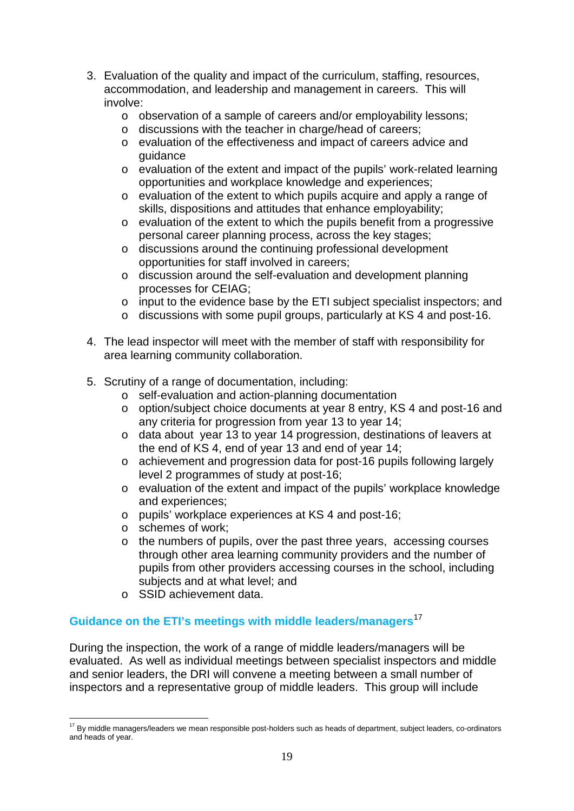- 3. Evaluation of the quality and impact of the curriculum, staffing, resources, accommodation, and leadership and management in careers. This will involve:
	- o observation of a sample of careers and/or employability lessons;
	- o discussions with the teacher in charge/head of careers;
	- o evaluation of the effectiveness and impact of careers advice and guidance
	- o evaluation of the extent and impact of the pupils' work-related learning opportunities and workplace knowledge and experiences;
	- o evaluation of the extent to which pupils acquire and apply a range of skills, dispositions and attitudes that enhance employability;
	- o evaluation of the extent to which the pupils benefit from a progressive personal career planning process, across the key stages;
	- o discussions around the continuing professional development opportunities for staff involved in careers;
	- o discussion around the self-evaluation and development planning processes for CEIAG;
	- o input to the evidence base by the ETI subject specialist inspectors; and
	- o discussions with some pupil groups, particularly at KS 4 and post-16.
- 4. The lead inspector will meet with the member of staff with responsibility for area learning community collaboration.
- 5. Scrutiny of a range of documentation, including:
	- o self-evaluation and action-planning documentation
	- o option/subject choice documents at year 8 entry, KS 4 and post-16 and any criteria for progression from year 13 to year 14;
	- o data about year 13 to year 14 progression, destinations of leavers at the end of KS 4, end of year 13 and end of year 14;
	- o achievement and progression data for post-16 pupils following largely level 2 programmes of study at post-16;
	- o evaluation of the extent and impact of the pupils' workplace knowledge and experiences;
	- o pupils' workplace experiences at KS 4 and post-16;
	- o schemes of work;
	- o the numbers of pupils, over the past three years, accessing courses through other area learning community providers and the number of pupils from other providers accessing courses in the school, including subjects and at what level; and
	- o SSID achievement data.

#### <span id="page-20-0"></span>**Guidance on the ETI's meetings with middle leaders/managers**[17](#page-20-1)

During the inspection, the work of a range of middle leaders/managers will be evaluated. As well as individual meetings between specialist inspectors and middle and senior leaders, the DRI will convene a meeting between a small number of inspectors and a representative group of middle leaders. This group will include

<span id="page-20-1"></span><sup>&</sup>lt;sup>17</sup> By middle managers/leaders we mean responsible post-holders such as heads of department, subject leaders, co-ordinators and heads of year.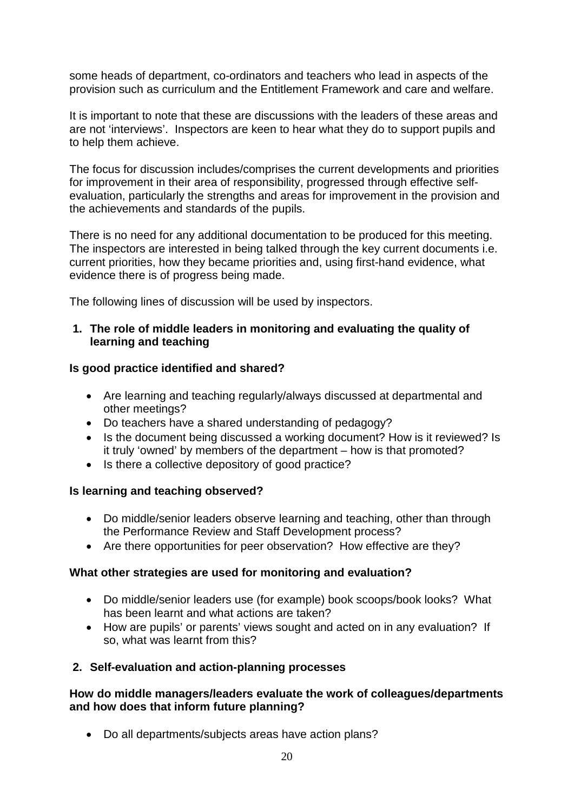some heads of department, co-ordinators and teachers who lead in aspects of the provision such as curriculum and the Entitlement Framework and care and welfare.

It is important to note that these are discussions with the leaders of these areas and are not 'interviews'. Inspectors are keen to hear what they do to support pupils and to help them achieve.

The focus for discussion includes/comprises the current developments and priorities for improvement in their area of responsibility, progressed through effective selfevaluation, particularly the strengths and areas for improvement in the provision and the achievements and standards of the pupils.

There is no need for any additional documentation to be produced for this meeting. The inspectors are interested in being talked through the key current documents i.e. current priorities, how they became priorities and, using first-hand evidence, what evidence there is of progress being made.

The following lines of discussion will be used by inspectors.

#### **1. The role of middle leaders in monitoring and evaluating the quality of learning and teaching**

#### **Is good practice identified and shared?**

- Are learning and teaching regularly/always discussed at departmental and other meetings?
- Do teachers have a shared understanding of pedagogy?
- Is the document being discussed a working document? How is it reviewed? Is it truly 'owned' by members of the department – how is that promoted?
- Is there a collective depository of good practice?

#### **Is learning and teaching observed?**

- Do middle/senior leaders observe learning and teaching, other than through the Performance Review and Staff Development process?
- Are there opportunities for peer observation? How effective are they?

#### **What other strategies are used for monitoring and evaluation?**

- Do middle/senior leaders use (for example) book scoops/book looks? What has been learnt and what actions are taken?
- How are pupils' or parents' views sought and acted on in any evaluation? If so, what was learnt from this?

#### **2. Self-evaluation and action-planning processes**

#### **How do middle managers/leaders evaluate the work of colleagues/departments and how does that inform future planning?**

• Do all departments/subjects areas have action plans?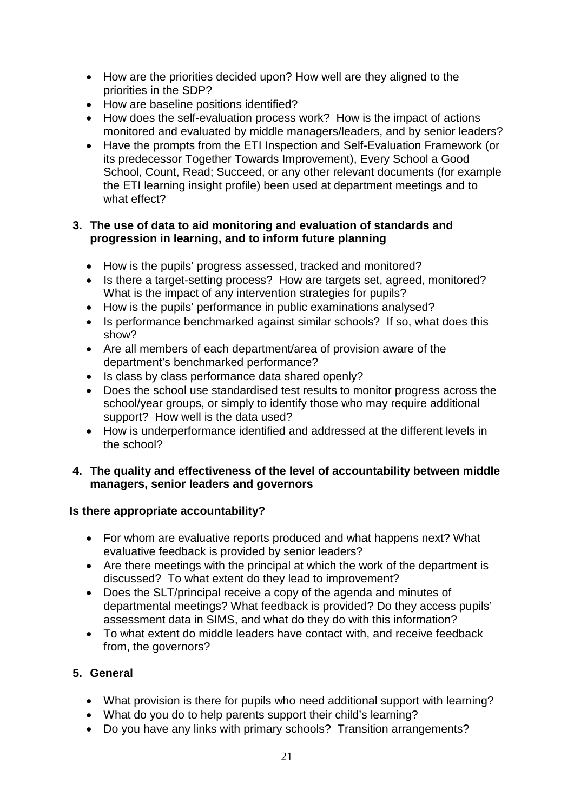- How are the priorities decided upon? How well are they aligned to the priorities in the SDP?
- How are baseline positions identified?
- How does the self-evaluation process work? How is the impact of actions monitored and evaluated by middle managers/leaders, and by senior leaders?
- Have the prompts from the ETI Inspection and Self-Evaluation Framework (or its predecessor Together Towards Improvement), Every School a Good School, Count, Read; Succeed, or any other relevant documents (for example the ETI learning insight profile) been used at department meetings and to what effect?

#### **3. The use of data to aid monitoring and evaluation of standards and progression in learning, and to inform future planning**

- How is the pupils' progress assessed, tracked and monitored?
- Is there a target-setting process? How are targets set, agreed, monitored? What is the impact of any intervention strategies for pupils?
- How is the pupils' performance in public examinations analysed?
- Is performance benchmarked against similar schools? If so, what does this show?
- Are all members of each department/area of provision aware of the department's benchmarked performance?
- Is class by class performance data shared openly?
- Does the school use standardised test results to monitor progress across the school/year groups, or simply to identify those who may require additional support? How well is the data used?
- How is underperformance identified and addressed at the different levels in the school?

#### **4. The quality and effectiveness of the level of accountability between middle managers, senior leaders and governors**

#### **Is there appropriate accountability?**

- For whom are evaluative reports produced and what happens next? What evaluative feedback is provided by senior leaders?
- Are there meetings with the principal at which the work of the department is discussed? To what extent do they lead to improvement?
- Does the SLT/principal receive a copy of the agenda and minutes of departmental meetings? What feedback is provided? Do they access pupils' assessment data in SIMS, and what do they do with this information?
- To what extent do middle leaders have contact with, and receive feedback from, the governors?

#### **5. General**

- What provision is there for pupils who need additional support with learning?
- What do you do to help parents support their child's learning?
- Do you have any links with primary schools? Transition arrangements?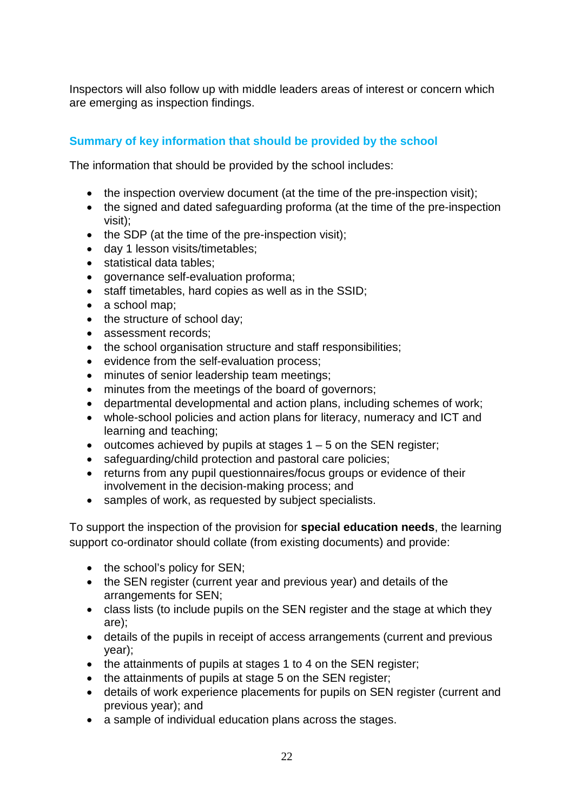Inspectors will also follow up with middle leaders areas of interest or concern which are emerging as inspection findings.

#### **Summary of key information that should be provided by the school**

The information that should be provided by the school includes:

- the inspection overview document (at the time of the pre-inspection visit);
- the signed and dated safeguarding proforma (at the time of the pre-inspection visit);
- the SDP (at the time of the pre-inspection visit);
- day 1 lesson visits/timetables;
- statistical data tables;
- governance self-evaluation proforma;
- staff timetables, hard copies as well as in the SSID;
- a school map:
- the structure of school day;
- assessment records;
- the school organisation structure and staff responsibilities;
- evidence from the self-evaluation process;
- minutes of senior leadership team meetings;
- minutes from the meetings of the board of governors;
- departmental developmental and action plans, including schemes of work;
- whole-school policies and action plans for literacy, numeracy and ICT and learning and teaching;
- outcomes achieved by pupils at stages  $1 5$  on the SEN register;
- safeguarding/child protection and pastoral care policies;
- returns from any pupil questionnaires/focus groups or evidence of their involvement in the decision-making process; and
- samples of work, as requested by subject specialists.

To support the inspection of the provision for **special education needs**, the learning support co-ordinator should collate (from existing documents) and provide:

- the school's policy for SEN;
- the SEN register (current year and previous year) and details of the arrangements for SEN;
- class lists (to include pupils on the SEN register and the stage at which they are);
- details of the pupils in receipt of access arrangements (current and previous year);
- the attainments of pupils at stages 1 to 4 on the SEN register;
- the attainments of pupils at stage 5 on the SEN register;
- details of work experience placements for pupils on SEN register (current and previous year); and
- a sample of individual education plans across the stages.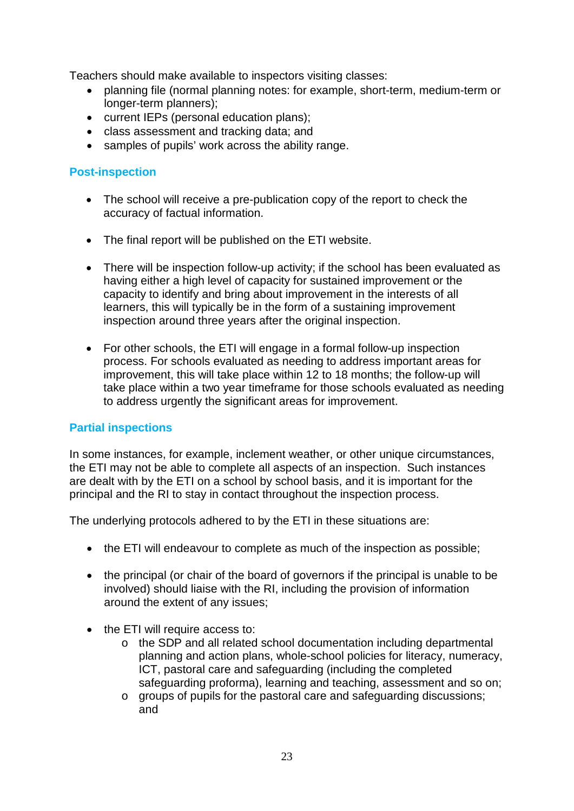Teachers should make available to inspectors visiting classes:

- planning file (normal planning notes: for example, short-term, medium-term or longer-term planners);
- current IEPs (personal education plans);
- class assessment and tracking data; and
- samples of pupils' work across the ability range.

#### **Post-inspection**

- The school will receive a pre-publication copy of the report to check the accuracy of factual information.
- The final report will be published on the ETI website.
- There will be inspection follow-up activity; if the school has been evaluated as having either a high level of capacity for sustained improvement or the capacity to identify and bring about improvement in the interests of all learners, this will typically be in the form of a sustaining improvement inspection around three years after the original inspection.
- For other schools, the ETI will engage in a formal follow-up inspection process. For schools evaluated as needing to address important areas for improvement, this will take place within 12 to 18 months; the follow-up will take place within a two year timeframe for those schools evaluated as needing to address urgently the significant areas for improvement.

#### **Partial inspections**

In some instances, for example, inclement weather, or other unique circumstances, the ETI may not be able to complete all aspects of an inspection. Such instances are dealt with by the ETI on a school by school basis, and it is important for the principal and the RI to stay in contact throughout the inspection process.

The underlying protocols adhered to by the ETI in these situations are:

- the ETI will endeavour to complete as much of the inspection as possible;
- the principal (or chair of the board of governors if the principal is unable to be involved) should liaise with the RI, including the provision of information around the extent of any issues;
- the ETI will require access to:
	- o the SDP and all related school documentation including departmental planning and action plans, whole-school policies for literacy, numeracy, ICT, pastoral care and safeguarding (including the completed safeguarding proforma), learning and teaching, assessment and so on;
	- o groups of pupils for the pastoral care and safeguarding discussions; and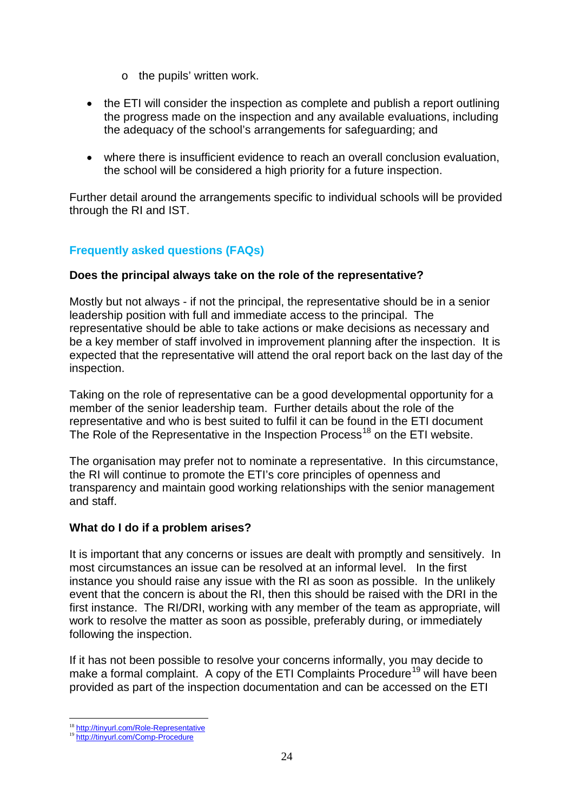- o the pupils' written work.
- the ETI will consider the inspection as complete and publish a report outlining the progress made on the inspection and any available evaluations, including the adequacy of the school's arrangements for safeguarding; and
- where there is insufficient evidence to reach an overall conclusion evaluation, the school will be considered a high priority for a future inspection.

Further detail around the arrangements specific to individual schools will be provided through the RI and IST.

#### **Frequently asked questions (FAQs)**

#### **Does the principal always take on the role of the representative?**

Mostly but not always - if not the principal, the representative should be in a senior leadership position with full and immediate access to the principal. The representative should be able to take actions or make decisions as necessary and be a key member of staff involved in improvement planning after the inspection. It is expected that the representative will attend the oral report back on the last day of the inspection.

Taking on the role of representative can be a good developmental opportunity for a member of the senior leadership team. Further details about the role of the representative and who is best suited to fulfil it can be found in the ETI document The Role of the Representative in the Inspection Process<sup>[18](#page-25-0)</sup> on the ETI website.

The organisation may prefer not to nominate a representative. In this circumstance, the RI will continue to promote the ETI's core principles of openness and transparency and maintain good working relationships with the senior management and staff.

#### **What do I do if a problem arises?**

It is important that any concerns or issues are dealt with promptly and sensitively. In most circumstances an issue can be resolved at an informal level. In the first instance you should raise any issue with the RI as soon as possible. In the unlikely event that the concern is about the RI, then this should be raised with the DRI in the first instance. The RI/DRI, working with any member of the team as appropriate, will work to resolve the matter as soon as possible, preferably during, or immediately following the inspection.

If it has not been possible to resolve your concerns informally, you may decide to make a formal complaint. A copy of the ETI Complaints Procedure<sup>[19](#page-25-1)</sup> will have been provided as part of the inspection documentation and can be accessed on the ETI

<span id="page-25-1"></span><span id="page-25-0"></span><sup>&</sup>lt;sup>18</sup> <http://tinyurl.com/Role-Representative><br><sup>19</sup> <http://tinyurl.com/Comp-Procedure>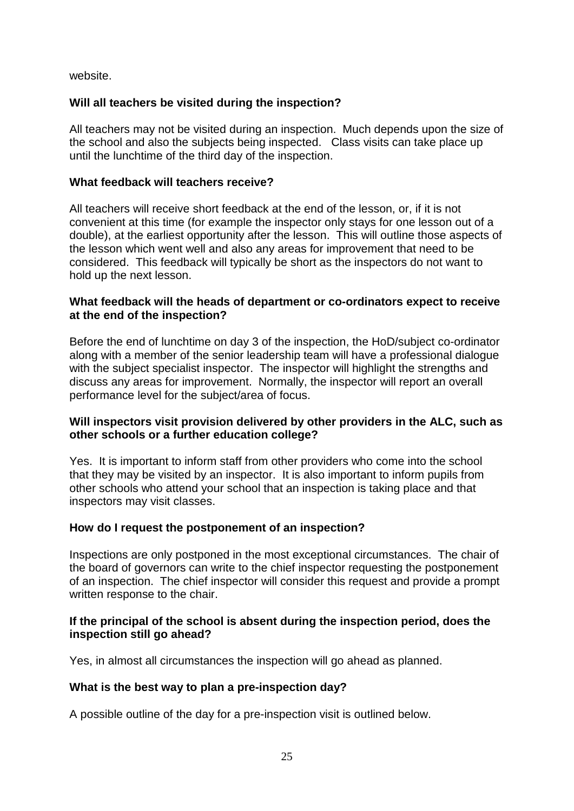website.

#### **Will all teachers be visited during the inspection?**

All teachers may not be visited during an inspection. Much depends upon the size of the school and also the subjects being inspected. Class visits can take place up until the lunchtime of the third day of the inspection.

#### **What feedback will teachers receive?**

All teachers will receive short feedback at the end of the lesson, or, if it is not convenient at this time (for example the inspector only stays for one lesson out of a double), at the earliest opportunity after the lesson. This will outline those aspects of the lesson which went well and also any areas for improvement that need to be considered. This feedback will typically be short as the inspectors do not want to hold up the next lesson.

#### **What feedback will the heads of department or co-ordinators expect to receive at the end of the inspection?**

Before the end of lunchtime on day 3 of the inspection, the HoD/subject co-ordinator along with a member of the senior leadership team will have a professional dialogue with the subject specialist inspector. The inspector will highlight the strengths and discuss any areas for improvement. Normally, the inspector will report an overall performance level for the subject/area of focus.

#### **Will inspectors visit provision delivered by other providers in the ALC, such as other schools or a further education college?**

Yes. It is important to inform staff from other providers who come into the school that they may be visited by an inspector. It is also important to inform pupils from other schools who attend your school that an inspection is taking place and that inspectors may visit classes.

#### **How do I request the postponement of an inspection?**

Inspections are only postponed in the most exceptional circumstances. The chair of the board of governors can write to the chief inspector requesting the postponement of an inspection. The chief inspector will consider this request and provide a prompt written response to the chair.

#### **If the principal of the school is absent during the inspection period, does the inspection still go ahead?**

Yes, in almost all circumstances the inspection will go ahead as planned.

#### **What is the best way to plan a pre-inspection day?**

A possible outline of the day for a pre-inspection visit is outlined below.